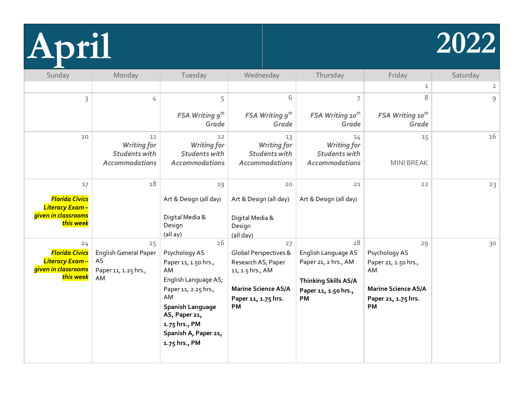

| Sunday                                                                                   | Monday                                                                        | Tuesday                                                                                                                                                                                                | Wednesday                                                                                                                               | Thursday                                                                                                       | Friday                                                                                                              | Saturday       |
|------------------------------------------------------------------------------------------|-------------------------------------------------------------------------------|--------------------------------------------------------------------------------------------------------------------------------------------------------------------------------------------------------|-----------------------------------------------------------------------------------------------------------------------------------------|----------------------------------------------------------------------------------------------------------------|---------------------------------------------------------------------------------------------------------------------|----------------|
|                                                                                          |                                                                               |                                                                                                                                                                                                        |                                                                                                                                         |                                                                                                                | $\mathbf 1$                                                                                                         | $\overline{2}$ |
| 3                                                                                        | 4                                                                             | 5                                                                                                                                                                                                      | 6                                                                                                                                       | 7                                                                                                              | 8                                                                                                                   | 9              |
|                                                                                          |                                                                               | <b>FSA Writing <math>g^{th}</math></b><br>Grade                                                                                                                                                        | <b>FSA Writing <math>g^{th}</math></b><br>Grade                                                                                         | <b>FSA Writing 10th</b><br>Grade                                                                               | <b>FSA Writing 10th</b><br>Grade                                                                                    |                |
| 10                                                                                       | 11<br><b>Writing for</b><br><b>Students with</b><br><b>Accommodations</b>     | 12<br><b>Writing for</b><br><b>Students with</b><br><b>Accommodations</b>                                                                                                                              | 13<br><b>Writing for</b><br><b>Students with</b><br><b>Accommodations</b>                                                               | 14<br><b>Writing for</b><br><b>Students with</b><br><b>Accommodations</b>                                      | 15<br><b>MINI BREAK</b>                                                                                             | 16             |
| 17<br><b>Florida Civics</b><br><b>Literacy Exam-</b><br>given in classrooms<br>this week | 18                                                                            | 19<br>Art & Design (all day)<br>Digital Media &<br>Design<br>(all ay)                                                                                                                                  | $20$<br>Art & Design (all day)<br>Digital Media &<br>Design<br>(all day)                                                                | 21<br>Art & Design (all day)                                                                                   | $22$                                                                                                                | 23             |
| 24<br><b>Florida Civics</b><br>Literacy Exam-<br>given in classrooms<br>this week        | 25<br><b>English General Paper</b><br><b>AS</b><br>Paper 11, 1.25 hrs.,<br>AM | 26<br>Psychology AS<br>Paper 11, 1.50 hrs.,<br>AM<br>English Language AS;<br>Paper 11, 2.25 hrs.,<br>AM<br>Spanish Language<br>AS, Paper 21,<br>1.75 hrs., PM<br>Spanish A, Paper 21,<br>1.75 hrs., PM | 27<br>Global Perspectives &<br>Research AS, Paper<br>11, 1.5 hrs., AM<br><b>Marine Science AS/A</b><br>Paper 11, 1.75 hrs.<br><b>PM</b> | 28<br>English Language AS<br>Paper 21, 2 hrs., AM<br><b>Thinking Skills AS/A</b><br>Paper 11, 1.50 hrs.,<br>PM | 29<br>Psychology AS<br>Paper 21, 1.50 hrs.,<br>AM<br><b>Marine Science AS/A</b><br>Paper 21, 1.75 hrs.<br><b>PM</b> | 30             |